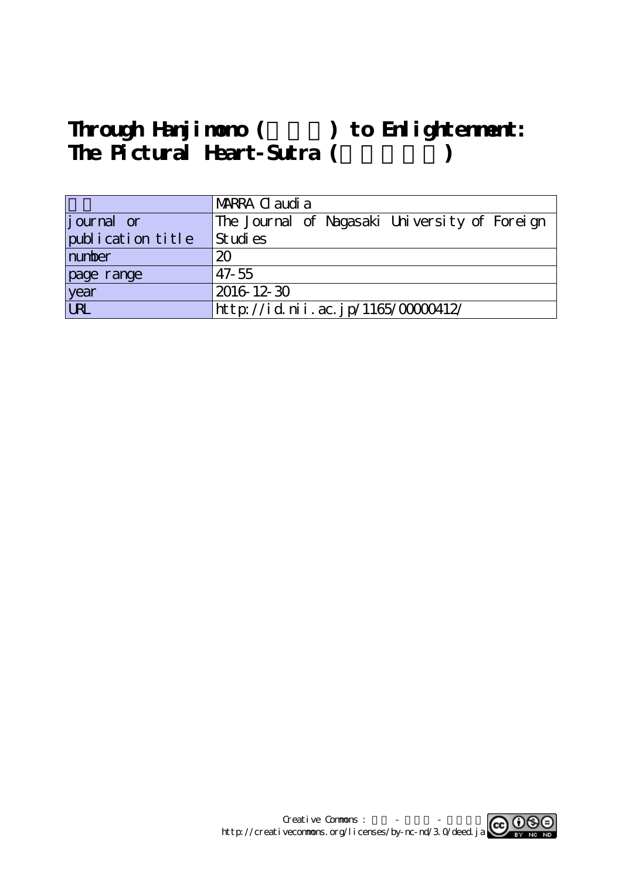# Through Hanjimono () to Enlightenment: The Pictural Heart-Sutra (  $\qquad \qquad$  )

|                    | MARRA C audi a                                |  |  |  |  |  |  |  |  |  |  |
|--------------------|-----------------------------------------------|--|--|--|--|--|--|--|--|--|--|
| <i>j</i> ournal or | The Journal of Nagasaki University of Foreign |  |  |  |  |  |  |  |  |  |  |
| publication title  | Studies                                       |  |  |  |  |  |  |  |  |  |  |
| number             | 20                                            |  |  |  |  |  |  |  |  |  |  |
| page range         | $47 - 55$                                     |  |  |  |  |  |  |  |  |  |  |
| year<br>URL        | 2016 12 30                                    |  |  |  |  |  |  |  |  |  |  |
|                    | http://id.nii.ac.jp/1165/00000412/            |  |  |  |  |  |  |  |  |  |  |

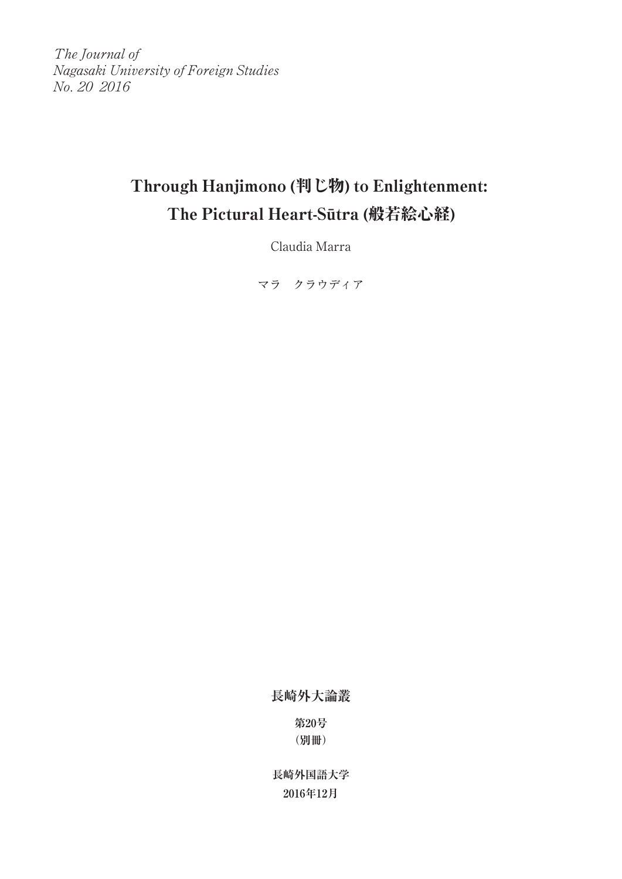The Journal of Nagasaki University of Foreign Studies No. 20 2016

# Through Hanjimono (判じ物) to Enlightenment: The Pictural Heart-Sūtra (般若絵心経)

Claudia Marra

マラ クラウディア

**長崎外大論叢**

**第20号 (別冊)**

**長崎外国語大学 2016年12月**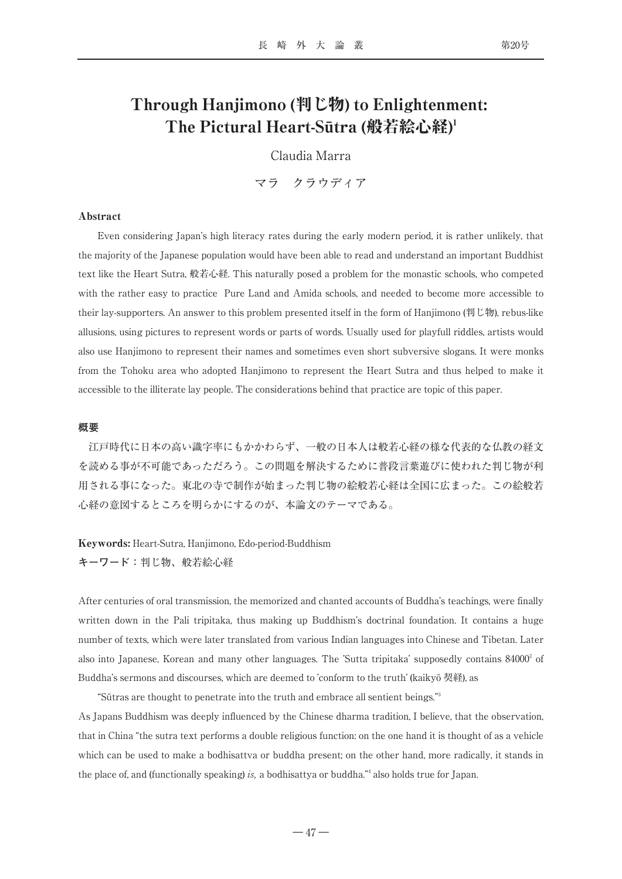## Through Hanjimono (判じ物) to Enlightenment: The Pictural Heart-Sūtra (般若絵心経)1

Claudia Marra

マラ クラウディア

#### Abstract

Even considering Japan's high literacy rates during the early modern period, it is rather unlikely, that the majority of the Japanese population would have been able to read and understand an important Buddhist text like the Heart Sutra, 般若心経. This naturally posed a problem for the monastic schools, who competed with the rather easy to practice Pure Land and Amida schools, and needed to become more accessible to their lay-supporters. An answer to this problem presented itself in the form of Hanjimono (判じ物), rebus-like allusions, using pictures to represent words or parts of words. Usually used for playfull riddles, artists would also use Hanjimono to represent their names and sometimes even short subversive slogans. It were monks from the Tohoku area who adopted Hanjimono to represent the Heart Sutra and thus helped to make it accessible to the illiterate lay people. The considerations behind that practice are topic of this paper.

### **概要**

江戸時代に日本の高い識字率にもかかわらず、一般の日本人は般若心経の様な代表的な仏教の経文 を読める事が不可能であっただろう。この問題を解決するために普段言葉遊びに使われた判じ物が利 用される事になった。東北の寺で制作が始まった判じ物の絵般若心経は全国に広まった。この絵般若 心経の意図するところを明らかにするのが、本論文のテーマである。

#### Keywords: Heart-Sutra, Hanjimono, Edo-period-Buddhism

**キーワード:**判じ物、般若絵心経

After centuries of oral transmission, the memorized and chanted accounts of Buddha's teachings, were finally written down in the Pali tripitaka, thus making up Buddhism's doctrinal foundation. It contains a huge number of texts, which were later translated from various Indian languages into Chinese and Tibetan. Later also into Japanese, Korean and many other languages. The 'Sutta tripitaka' supposedly contains 84000<sup>2</sup> of Buddha's sermons and discourses, which are deemed to 'conform to the truth' (kaikyō 契経), as

"Sūtras are thought to penetrate into the truth and embrace all sentient beings."3

As Japans Buddhism was deeply influenced by the Chinese dharma tradition, I believe, that the observation, that in China "the sutra text performs a double religious function: on the one hand it is thought of as a vehicle which can be used to make a bodhisattva or buddha present; on the other hand, more radically, it stands in the place of, and (functionally speaking) is, a bodhisattya or buddha.<sup>"4</sup> also holds true for Japan.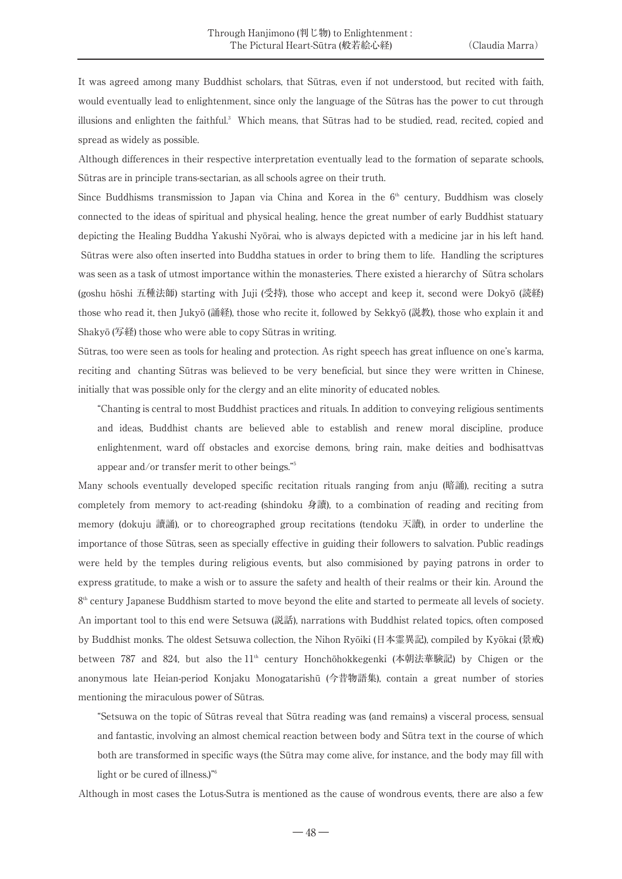It was agreed among many Buddhist scholars, that Sūtras, even if not understood, but recited with faith, would eventually lead to enlightenment, since only the language of the Sūtras has the power to cut through illusions and enlighten the faithful.<sup>3</sup> Which means, that Sūtras had to be studied, read, recited, copied and spread as widely as possible.

Although differences in their respective interpretation eventually lead to the formation of separate schools, Sūtras are in principle trans-sectarian, as all schools agree on their truth.

Since Buddhisms transmission to Japan via China and Korea in the  $6<sup>th</sup>$  century, Buddhism was closely connected to the ideas of spiritual and physical healing, hence the great number of early Buddhist statuary depicting the Healing Buddha Yakushi Nyōrai, who is always depicted with a medicine jar in his left hand. Sūtras were also often inserted into Buddha statues in order to bring them to life. Handling the scriptures was seen as a task of utmost importance within the monasteries. There existed a hierarchy of Sūtra scholars (goshu hōshi 五種法師) starting with Juji (受持), those who accept and keep it, second were Dokyō (読経) those who read it, then Jukyō (誦経), those who recite it, followed by Sekkyō (説教), those who explain it and Shakyō (写経) those who were able to copy Sūtras in writing.

Sūtras, too were seen as tools for healing and protection. As right speech has great influence on one's karma, reciting and chanting Sūtras was believed to be very beneficial, but since they were written in Chinese, initially that was possible only for the clergy and an elite minority of educated nobles.

"Chanting is central to most Buddhist practices and rituals. In addition to conveying religious sentiments and ideas, Buddhist chants are believed able to establish and renew moral discipline, produce enlightenment, ward off obstacles and exorcise demons, bring rain, make deities and bodhisattvas appear and/or transfer merit to other beings."5

Many schools eventually developed specific recitation rituals ranging from anju (暗誦), reciting a sutra completely from memory to act-reading (shindoku 身讀), to a combination of reading and reciting from memory (dokuju 讀誦), or to choreographed group recitations (tendoku 天讀), in order to underline the importance of those Sūtras, seen as specially effective in guiding their followers to salvation. Public readings were held by the temples during religious events, but also commisioned by paying patrons in order to express gratitude, to make a wish or to assure the safety and health of their realms or their kin. Around the  $8<sup>th</sup>$  century Japanese Buddhism started to move beyond the elite and started to permeate all levels of society. An important tool to this end were Setsuwa (説話), narrations with Buddhist related topics, often composed by Buddhist monks. The oldest Setsuwa collection, the Nihon Ryōiki (日本霊異記), compiled by Kyōkai (景戒) between 787 and 824, but also the 11<sup>th</sup> century Honchōhokkegenki (本朝法華験記) by Chigen or the anonymous late Heian-period Konjaku Monogatarishū (今昔物語集), contain a great number of stories mentioning the miraculous power of Sūtras.

"Setsuwa on the topic of Sūtras reveal that Sūtra reading was (and remains) a visceral process, sensual and fantastic, involving an almost chemical reaction between body and Sūtra text in the course of which both are transformed in specific ways (the Sūtra may come alive, for instance, and the body may fill with light or be cured of illness.)"6

Although in most cases the Lotus-Sutra is mentioned as the cause of wondrous events, there are also a few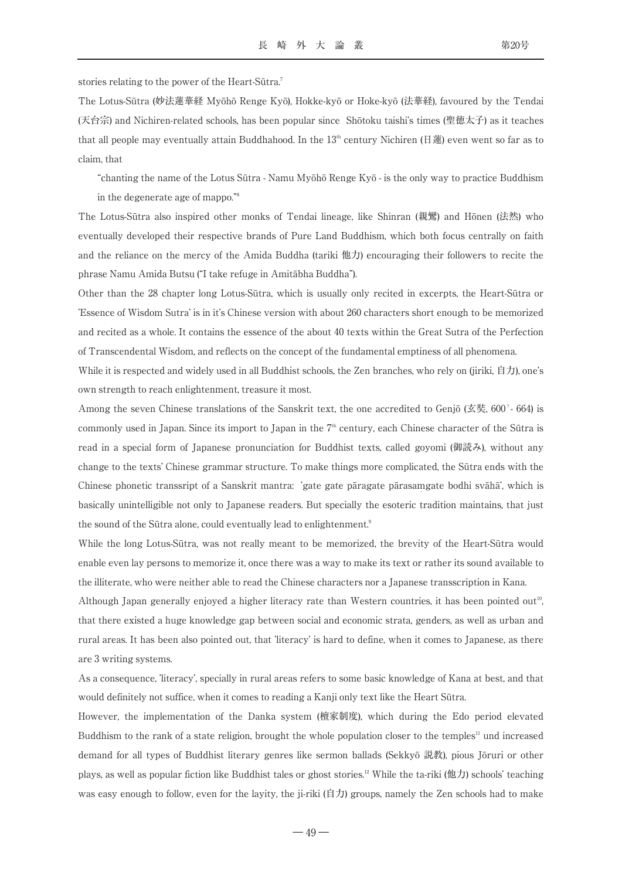stories relating to the power of the Heart-Sūtra.7

The Lotus-Sūtra (妙法蓮華経 Myōhō Renge Kyō), Hokke-kyō or Hoke-kyō (法華経), favoured by the Tendai (天台宗) and Nichiren-related schools, has been popular since Shōtoku taishi's times (聖徳太子) as it teaches that all people may eventually attain Buddhahood. In the  $13<sup>th</sup>$  century Nichiren (日蓮) even went so far as to claim, that

"chanting the name of the Lotus Sūtra - Namu Myōhō Renge Kyō - is the only way to practice Buddhism in the degenerate age of mappo."8

The Lotus-Sūtra also inspired other monks of Tendai lineage, like Shinran (親鸞) and Hōnen (法然) who eventually developed their respective brands of Pure Land Buddhism, which both focus centrally on faith and the reliance on the mercy of the Amida Buddha (tariki 他力) encouraging their followers to recite the phrase Namu Amida Butsu ("I take refuge in Amitābha Buddha").

Other than the 28 chapter long Lotus-Sūtra, which is usually only recited in excerpts, the Heart-Sūtra or 'Essence of Wisdom Sutra' is in it's Chinese version with about 260 characters short enough to be memorized and recited as a whole. It contains the essence of the about 40 texts within the Great Sutra of the Perfection of Transcendental Wisdom, and reflects on the concept of the fundamental emptiness of all phenomena.

While it is respected and widely used in all Buddhist schools, the Zen branches, who rely on (jiriki, 自力), one's own strength to reach enlightenment, treasure it most.

Among the seven Chinese translations of the Sanskrit text, the one accredited to Genjō (玄奘, 600?- 664) is commonly used in Japan. Since its import to Japan in the  $7<sup>th</sup>$  century, each Chinese character of the Sūtra is read in a special form of Japanese pronunciation for Buddhist texts, called goyomi (御読み), without any change to the texts' Chinese grammar structure. To make things more complicated, the Sūtra ends with the **・** Chinese phonetic transsript of a Sanskrit mantra: 'gate gate pāragate pārasamgate bodhi svāhā', which is basically unintelligible not only to Japanese readers. But specially the esoteric tradition maintains, that just the sound of the Sūtra alone, could eventually lead to enlightenment.<sup>9</sup>

While the long Lotus-Sūtra, was not really meant to be memorized, the brevity of the Heart-Sūtra would enable even lay persons to memorize it, once there was a way to make its text or rather its sound available to the illiterate, who were neither able to read the Chinese characters nor a Japanese transscription in Kana.

Although Japan generally enjoyed a higher literacy rate than Western countries, it has been pointed out<sup>10</sup>, , that there existed a huge knowledge gap between social and economic strata, genders, as well as urban and rural areas. It has been also pointed out, that 'literacy' is hard to define, when it comes to Japanese, as there are 3 writing systems.

As a consequence, 'literacy', specially in rural areas refers to some basic knowledge of Kana at best, and that would definitely not suffice, when it comes to reading a Kanji only text like the Heart Sūtra.

However, the implementation of the Danka system (檀家制度), which during the Edo period elevated Buddhism to the rank of a state religion, brought the whole population closer to the temples<sup>11</sup> und increased demand for all types of Buddhist literary genres like sermon ballads (Sekkyō 説教), pious Jōruri or other plays, as well as popular fiction like Buddhist tales or ghost stories.<sup>12</sup> While the ta-riki (他力) schools' teaching was easy enough to follow, even for the layity, the ji-riki (自力) groups, namely the Zen schools had to make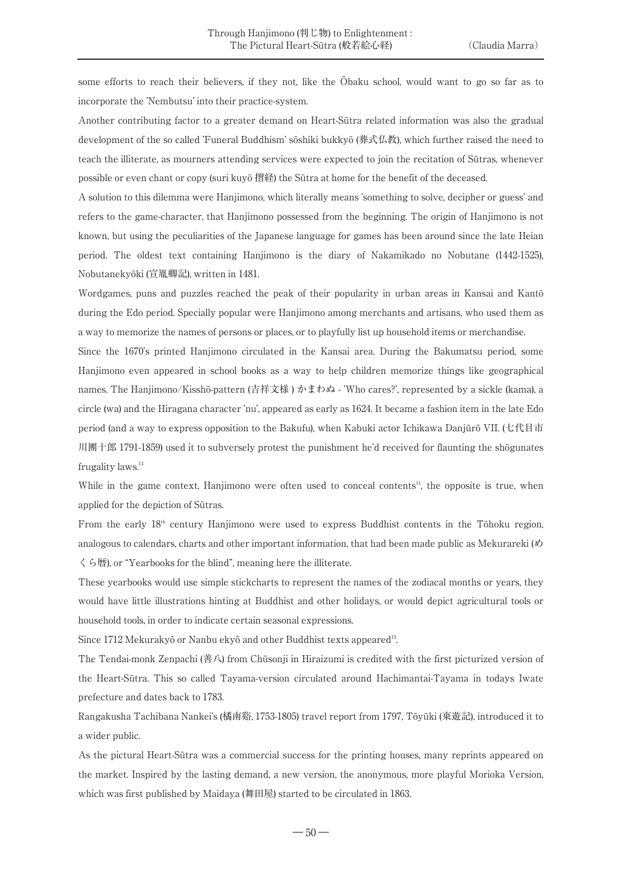some efforts to reach their believers, if they not, like the Ōbaku school, would want to go so far as to incorporate the 'Nembutsu' into their practice-system.

Another contributing factor to a greater demand on Heart-Sūtra related information was also the gradual development of the so called 'Funeral Buddhism' sōshiki bukkyō (葬式仏教), which further raised the need to teach the illiterate, as mourners attending services were expected to join the recitation of Sūtras, whenever possible or even chant or copy (suri kuyō 摺経) the Sūtra at home for the benefit of the deceased.

A solution to this dilemma were Hanjimono, which literally means 'something to solve, decipher or guess' and refers to the game-character, that Hanjimono possessed from the beginning. The origin of Hanjimono is not known, but using the peculiarities of the Japanese language for games has been around since the late Heian period. The oldest text containing Hanjimono is the diary of Nakamikado no Nobutane (1442-1525), Nobutanekyōki (宣胤卿記), written in 1481.

Wordgames, puns and puzzles reached the peak of their popularity in urban areas in Kansai and Kantō during the Edo period. Specially popular were Hanjimono among merchants and artisans, who used them as a way to memorize the names of persons or places, or to playfully list up household items or merchandise.

Since the 1670's printed Hanjimono circulated in the Kansai area. During the Bakumatsu period, some Hanjimono even appeared in school books as a way to help children memorize things like geographical names. The Hanjimono/Kisshō-pattern (吉祥文様 ) かまわぬ - 'Who cares?', represented by a sickle (kama), a circle (wa) and the Hiragana character 'nu', appeared as early as 1624. It became a fashion item in the late Edo period (and a way to express opposition to the Bakufu), when Kabuki actor Ichikawa Danjūrō VII. (七代目市 川團十郎 1791-1859) used it to subversely protest the punishment he'd received for flaunting the shōgunates frugality laws.<sup>13</sup>

While in the game context, Hanjimono were often used to conceal contents $A<sup>A</sup>$ , the opposite is true, when applied for the depiction of Sūtras.

From the early  $18<sup>th</sup>$  century Hanjimono were used to express Buddhist contents in the Tōhoku region, analogous to calendars, charts and other important information, that had been made public as Mekurareki (め くら暦), or "Yearbooks for the blind", meaning here the illiterate.

These yearbooks would use simple stickcharts to represent the names of the zodiacal months or years, they would have little illustrations hinting at Buddhist and other holidays, or would depict agricultural tools or household tools, in order to indicate certain seasonal expressions.

Since 1712 Mekurakyō or Nanbu ekyō and other Buddhist texts appeared<sup>15</sup>. .

The Tendai-monk Zenpachi (善八) from Chūsonji in Hiraizumi is credited with the first picturized version of the Heart-Sūtra. This so called Tayama-version circulated around Hachimantai-Tayama in todays Iwate prefecture and dates back to 1783.

Rangakusha Tachibana Nankei's (橘南谿, 1753-1805) travel report from 1797, Tōyūki (東遊記), introduced it to a wider public.

As the pictural Heart-Sūtra was a commercial success for the printing houses, many reprints appeared on the market. Inspired by the lasting demand, a new version, the anonymous, more playful Morioka Version, which was first published by Maidaya (舞田屋) started to be circulated in 1863.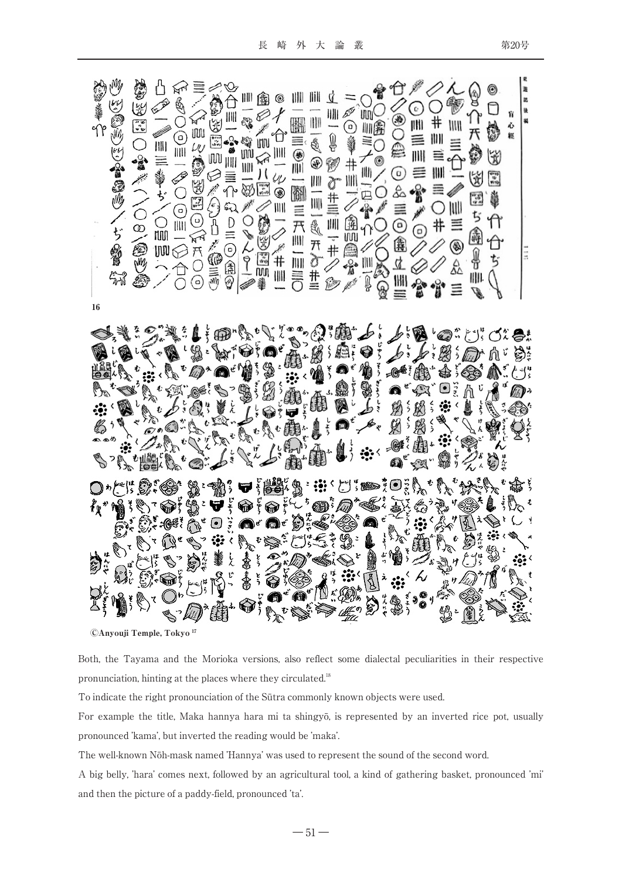| M<br>小拿马<br>どうじ<br>S<br>翎<br>16                | S<br>幽<br>$\mathbb{C}^{\mathbb{Z}}_{\mathbb{C}}$<br>О<br>じょうい<br><b>Company</b><br>$\geq$<br>09/09/09<br>∕<br>ぢ | ů<br>$\mathbb{Z}$<br>§O®≣<br>EXA<br>Ⅲ三≫ぢ<br>$\overline{\mathscr{P}}$<br>O<br>O<br>C)<br>Nui<br>$\begin{array}{c} \text{min} \\ \text{min} \\ \text{min} \end{array}$<br>⇧<br>$\hat{\phantom{0}}$ | r<br>III<br><b>BAC</b><br>地图<br>OCKKO<br>⊚ | $\bigcirc$<br>$\mathcal{E}$<br>D 三〇 魚&<br>Ď<br>人物言义 | Ⅲ鱼◎<br>$\omega$<br>001-07                                                                                                                                                                                                                                                                                                                           | $\mathcal{O}$<br>$\bigoplus_{i=1}^n \mathbb{P}^i$<br><b>NASSER</b> | 圖三<br><b>六門 二四号〇</b> | Ⅲ一Ⅲ一处开》节 | $C_{\sim}$ | €<br><b>ナⅢ / ログ○</b><br>$\overline{O}$<br>26<br>Ă<br>ନ୍ତୁ | 仓<br><b>MOOO</b><br>90 G<br>≣<br>$^{\copyright}$<br>麁<br>4<br>圖言 | <b>Contract Contract Contract Contract Contract Contract Contract Contract Contract Contract Contract Contract Contract Contract Contract Contract Contract Contract Contract Contract Contract Contract Contract Contract Contr</b><br>⊙<br>⊪≣<br>JIII<br>≣<br><b>BRACK</b><br>$\frac{1}{2}$<br>00<br>☆☆ | $\varnothing$<br>$\frac{1}{2}$<br>≣<br>IIII<br>$\equiv \mathscr{Q}$<br>$\bigcirc$<br>#<br>* เื่ | 人電<br>IIII<br>目位<br>NII<br>≣<br>۱<br>£<br>亖 | ନ<br>କ<br>兲<br>ø<br>崮<br>$\frac{1}{\alpha}$<br>ぢ<br>通<br>₽<br>IIII.<br>J. | ◉<br>O<br>S.<br>3<br>一世界<br>Ÿ<br>A<br>$\hat{\mathsf{D}}$<br>ぢ | Ŵ<br>ò | y<br>品<br>U |
|------------------------------------------------|-----------------------------------------------------------------------------------------------------------------|--------------------------------------------------------------------------------------------------------------------------------------------------------------------------------------------------|--------------------------------------------|-----------------------------------------------------|-----------------------------------------------------------------------------------------------------------------------------------------------------------------------------------------------------------------------------------------------------------------------------------------------------------------------------------------------------|--------------------------------------------------------------------|----------------------|----------|------------|-----------------------------------------------------------|------------------------------------------------------------------|-----------------------------------------------------------------------------------------------------------------------------------------------------------------------------------------------------------------------------------------------------------------------------------------------------------|-------------------------------------------------------------------------------------------------|---------------------------------------------|---------------------------------------------------------------------------|---------------------------------------------------------------|--------|-------------|
| $\bigotimes_{\mathfrak{Z}}$<br>吸: B:<br>░<br>S |                                                                                                                 |                                                                                                                                                                                                  |                                            |                                                     |                                                                                                                                                                                                                                                                                                                                                     |                                                                    |                      |          |            |                                                           |                                                                  |                                                                                                                                                                                                                                                                                                           |                                                                                                 |                                             |                                                                           |                                                               |        |             |
| ぞく<br>READ<br><b>DE</b>                        |                                                                                                                 |                                                                                                                                                                                                  |                                            |                                                     | $\begin{picture}(180,10) \put(0,0){\line(1,0){100}} \put(0,0){\line(1,0){100}} \put(0,0){\line(1,0){100}} \put(0,0){\line(1,0){100}} \put(0,0){\line(1,0){100}} \put(0,0){\line(1,0){100}} \put(0,0){\line(1,0){100}} \put(0,0){\line(1,0){100}} \put(0,0){\line(1,0){100}} \put(0,0){\line(1,0){100}} \put(0,0){\line(1,0){100}} \put(0,0){\line($ |                                                                    |                      |          |            |                                                           |                                                                  |                                                                                                                                                                                                                                                                                                           |                                                                                                 |                                             |                                                                           |                                                               |        |             |

ⒸAnyouji Temple, Tokyo17

Both, the Tayama and the Morioka versions, also reflect some dialectal peculiarities in their respective pronunciation, hinting at the places where they circulated.<sup>18</sup>

To indicate the right pronounciation of the Sūtra commonly known objects were used.

For example the title, Maka hannya hara mi ta shingyō, is represented by an inverted rice pot, usually pronounced 'kama', but inverted the reading would be 'maka'.

The well-known Nōh-mask named 'Hannya' was used to represent the sound of the second word.

A big belly, 'hara' comes next, followed by an agricultural tool, a kind of gathering basket, pronounced 'mi' and then the picture of a paddy-field, pronounced 'ta'.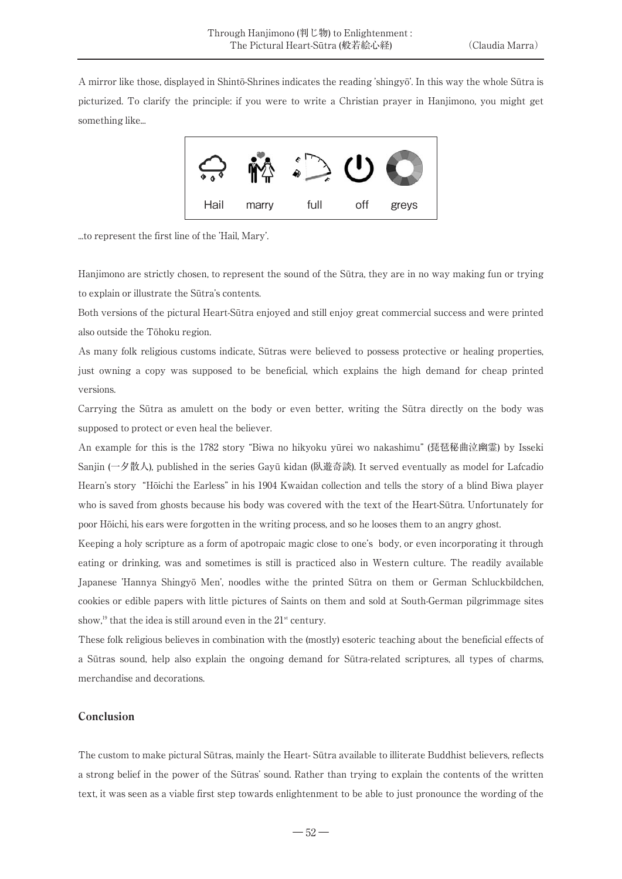A mirror like those, displayed in Shintō-Shrines indicates the reading 'shingyō'. In this way the whole Sūtra is picturized. To clarify the principle: if you were to write a Christian prayer in Hanjimono, you might get something like...



...to represent the first line of the 'Hail, Mary'.

Hanjimono are strictly chosen, to represent the sound of the Sūtra, they are in no way making fun or trying to explain or illustrate the Sūtra's contents.

Both versions of the pictural Heart-Sūtra enjoyed and still enjoy great commercial success and were printed also outside the Tōhoku region.

As many folk religious customs indicate, Sūtras were believed to possess protective or healing properties, just owning a copy was supposed to be beneficial, which explains the high demand for cheap printed versions.

Carrying the Sūtra as amulett on the body or even better, writing the Sūtra directly on the body was supposed to protect or even heal the believer.

An example for this is the 1782 story "Biwa no hikyoku yūrei wo nakashimu" (琵琶秘曲泣幽霊) by Isseki Sanjin (一夕散人), published in the series Gayū kidan (臥遊奇談). It served eventually as model for Lafcadio Hearn's story "Hōichi the Earless" in his 1904 Kwaidan collection and tells the story of a blind Biwa player who is saved from ghosts because his body was covered with the text of the Heart-Sūtra. Unfortunately for poor Hōichi, his ears were forgotten in the writing process, and so he looses them to an angry ghost.

Keeping a holy scripture as a form of apotropaic magic close to one's body, or even incorporating it through eating or drinking, was and sometimes is still is practiced also in Western culture. The readily available Japanese 'Hannya Shingyō Men', noodles withe the printed Sūtra on them or German Schluckbildchen, cookies or edible papers with little pictures of Saints on them and sold at South-German pilgrimmage sites show,<sup>19</sup> that the idea is still around even in the  $21<sup>st</sup>$  century.

These folk religious believes in combination with the (mostly) esoteric teaching about the beneficial effects of a Sūtras sound, help also explain the ongoing demand for Sūtra-related scriptures, all types of charms, merchandise and decorations.

### Conclusion

The custom to make pictural Sūtras, mainly the Heart- Sūtra available to illiterate Buddhist believers, reflects a strong belief in the power of the Sūtras' sound. Rather than trying to explain the contents of the written text, it was seen as a viable first step towards enlightenment to be able to just pronounce the wording of the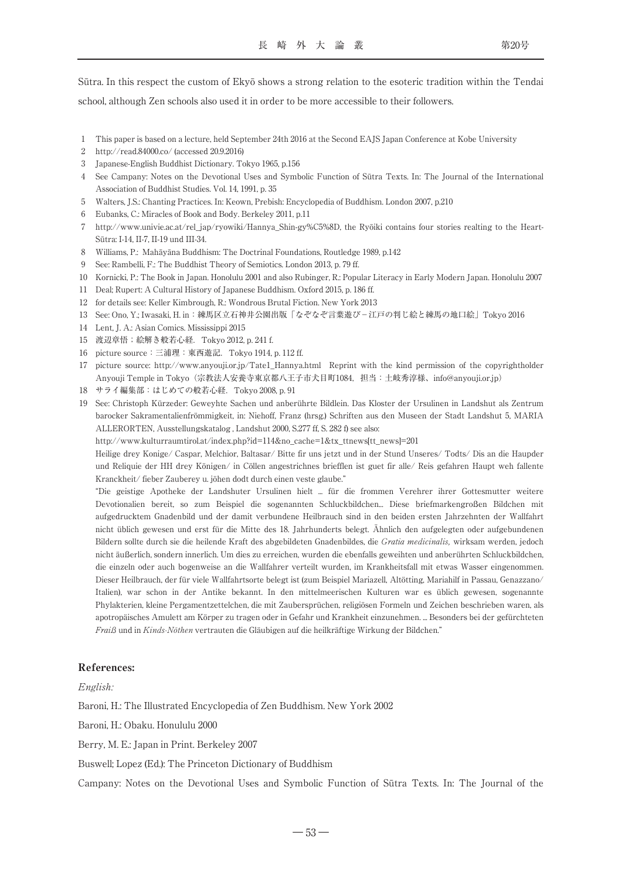Sūtra. In this respect the custom of Ekyō shows a strong relation to the esoteric tradition within the Tendai school, although Zen schools also used it in order to be more accessible to their followers.

- 1 This paper is based on a lecture, held September 24th 2016 at the Second EAJS Japan Conference at Kobe University
- 2 http://read.84000.co/ (accessed 20.9.2016)
- 3 Japanese-English Buddhist Dictionary. Tokyo 1965, p.156
- 4 See Campany: Notes on the Devotional Uses and Symbolic Function of Sūtra Texts. In: The Journal of the International Association of Buddhist Studies. Vol. 14, 1991, p. 35
- 5 Walters, J.S.: Chanting Practices. In: Keown, Prebish: Encyclopedia of Buddhism. London 2007, p.210
- 6 Eubanks, C.: Miracles of Book and Body. Berkeley 2011, p.11
- 7 http://www.univie.ac.at/rel\_jap/ryowiki/Hannya\_Shin-gy%C5%8D, the Ryōiki contains four stories realting to the Heart-Sūtra: I-14, II-7, II-19 und III-34.
- 8 Williams, P.: Mahāyāna Buddhism: The Doctrinal Foundations, Routledge 1989, p.142
- 9 See: Rambelli, F.: The Buddhist Theory of Semiotics. London 2013, p. 79 ff.
- 10 Kornicki, P.: The Book in Japan. Honolulu 2001 and also Rubinger, R.: Popular Literacy in Early Modern Japan. Honolulu 2007
- 11 Deal; Rupert: A Cultural History of Japanese Buddhism. Oxford 2015, p. 186 ff.
- 12 for details see: Keller Kimbrough, R.: Wondrous Brutal Fiction. New York 2013
- 13 See: Ono, Y.; Iwasaki, H. in:練馬区立石神井公園出版「なぞなぞ言葉遊び-江戸の判じ絵と練馬の地口絵」Tokyo 2016
- 14 Lent, J. A.: Asian Comics. Mississippi 2015
- 15 渡辺章悟;絵解き般若心経.Tokyo 2012, p. 241 f.
- 16 picture source:三浦理:東西遊記.Tokyo 1914, p. 112 ff.
- 17 picture source: http://www.anyouji.or.jp/Tate1\_Hannya.html Reprint with the kind permission of the copyrightholder Anyouji Temple in Tokyo(宗教法人安養寺東京都八王子市犬目町1084,担当:土岐秀淳様、info@anyouji.or.jp)
- 18 サライ編集部:はじめての般若心経.Tokyo 2008, p. 91
- 19 See: Christoph Kürzeder: Geweyhte Sachen und anberührte Bildlein. Das Kloster der Ursulinen in Landshut als Zentrum barocker Sakramentalienfrömmigkeit, in: Niehoff, Franz (hrsg.) Schriften aus den Museen der Stadt Landshut 5, MARIA ALLERORTEN, Ausstellungskatalog , Landshut 2000, S.277 ff, S. 282 f) see also:
	- http://www.kulturraumtirol.at/index.php?id=114&no\_cache=1&tx\_ttnews[tt\_news]=201

Heilige drey Konige/ Caspar, Melchior, Baltasar/ Bitte fir uns jetzt und in der Stund Unseres/ Todts/ Dis an die Haupder und Reliquie der HH drey Königen/ in Cöllen angestrichnes briefflen ist guet fir alle/ Reis gefahren Haupt weh fallente Kranckheit/ fieber Zauberey u. jöhen dodt durch einen veste glaube."

"Die geistige Apotheke der Landshuter Ursulinen hielt ... für die frommen Verehrer ihrer Gottesmutter weitere Devotionalien bereit, so zum Beispiel die sogenannten Schluckbildchen... Diese briefmarkengroßen Bildchen mit aufgedrucktem Gnadenbild und der damit verbundene Heilbrauch sind in den beiden ersten Jahrzehnten der Wallfahrt nicht üblich gewesen und erst für die Mitte des 18. Jahrhunderts belegt. Ähnlich den aufgelegten oder aufgebundenen Bildern sollte durch sie die heilende Kraft des abgebildeten Gnadenbildes, die Gratia medicinalis, wirksam werden, jedoch nicht äußerlich, sondern innerlich. Um dies zu erreichen, wurden die ebenfalls geweihten und anberührten Schluckbildchen, die einzeln oder auch bogenweise an die Wallfahrer verteilt wurden, im Krankheitsfall mit etwas Wasser eingenommen. Dieser Heilbrauch, der für viele Wallfahrtsorte belegt ist (zum Beispiel Mariazell, Altötting, Mariahilf in Passau, Genazzano/ Italien), war schon in der Antike bekannt. In den mittelmeerischen Kulturen war es üblich gewesen, sogenannte Phylakterien, kleine Pergamentzettelchen, die mit Zaubersprüchen, religiösen Formeln und Zeichen beschrieben waren, als apotropäisches Amulett am Körper zu tragen oder in Gefahr und Krankheit einzunehmen. ... Besonders bei der gefürchteten Fraiß und in Kinds-Nöthen vertrauten die Gläubigen auf die heilkräftige Wirkung der Bildchen."

#### References:

#### English:

Baroni, H.: The Illustrated Encyclopedia of Zen Buddhism. New York 2002

Baroni, H.: Obaku. Honululu 2000

Berry, M. E.: Japan in Print. Berkeley 2007

Buswell; Lopez (Ed.): The Princeton Dictionary of Buddhism

Campany: Notes on the Devotional Uses and Symbolic Function of Sūtra Texts. In: The Journal of the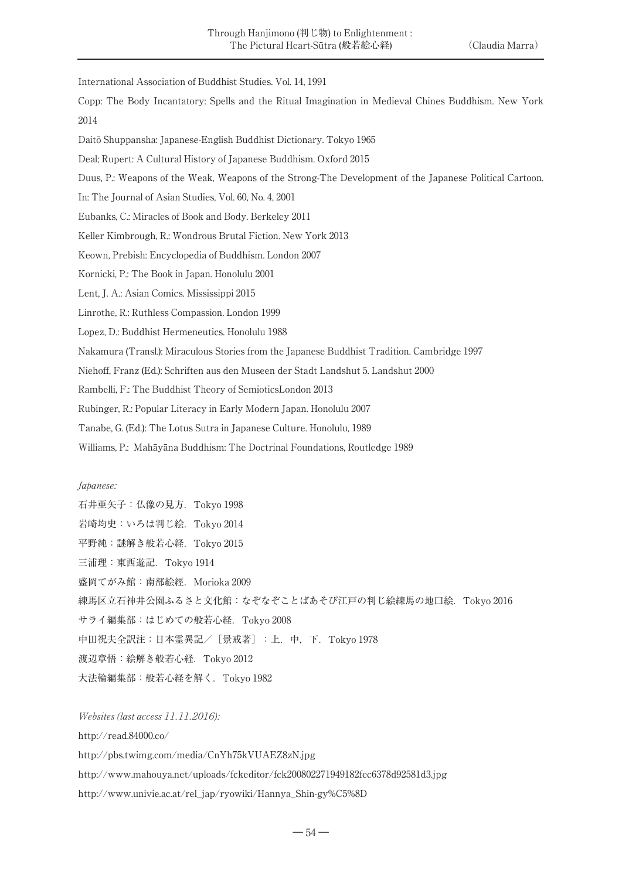International Association of Buddhist Studies. Vol. 14, 1991

Copp: The Body Incantatory: Spells and the Ritual Imagination in Medieval Chines Buddhism. New York 2014

Daitō Shuppansha: Japanese-English Buddhist Dictionary. Tokyo 1965

Deal; Rupert: A Cultural History of Japanese Buddhism. Oxford 2015

Duus, P.: Weapons of the Weak, Weapons of the Strong-The Development of the Japanese Political Cartoon.

In: The Journal of Asian Studies, Vol. 60, No. 4, 2001

Eubanks, C.: Miracles of Book and Body. Berkeley 2011

Keller Kimbrough, R.: Wondrous Brutal Fiction. New York 2013

Keown, Prebish: Encyclopedia of Buddhism. London 2007

Kornicki, P.: The Book in Japan. Honolulu 2001

Lent, J. A.: Asian Comics. Mississippi 2015

Linrothe, R.: Ruthless Compassion. London 1999

Lopez, D.: Buddhist Hermeneutics. Honolulu 1988

Nakamura (Transl.): Miraculous Stories from the Japanese Buddhist Tradition. Cambridge 1997

Niehoff, Franz (Ed.): Schriften aus den Museen der Stadt Landshut 5. Landshut 2000

Rambelli, F.: The Buddhist Theory of SemioticsLondon 2013

Rubinger, R.: Popular Literacy in Early Modern Japan. Honolulu 2007

Tanabe, G. (Ed.): The Lotus Sutra in Japanese Culture. Honolulu, 1989

Williams, P.: Mahāyāna Buddhism: The Doctrinal Foundations, Routledge 1989

#### Japanese:

石井亜矢子:仏像の見方.Tokyo 1998 岩崎均史:いろは判じ絵.Tokyo 2014 平野純:謎解き般若心経.Tokyo 2015 三浦理:東西遊記.Tokyo 1914 盛岡てがみ館:南部絵經.Morioka 2009 練馬区立石神井公園ふるさと文化館:なぞなぞことばあそび江戸の判じ絵練馬の地口絵. Tokyo 2016 サライ編集部:はじめての般若心経.Tokyo 2008 中田祝夫全訳注:日本霊異記/[景戒著]:上,中, 下. Tokyo 1978 渡辺章悟:絵解き般若心経.Tokyo 2012 大法輪編集部:般若心経を解く.Tokyo 1982

Websites (last access 11.11.2016):

http://read.84000.co/

http://pbs.twimg.com/media/CnYh75kVUAEZ8zN.jpg

http://www.mahouya.net/uploads/fckeditor/fck200802271949182fec6378d92581d3.jpg

http://www.univie.ac.at/rel\_jap/ryowiki/Hannya\_Shin-gy%C5%8D